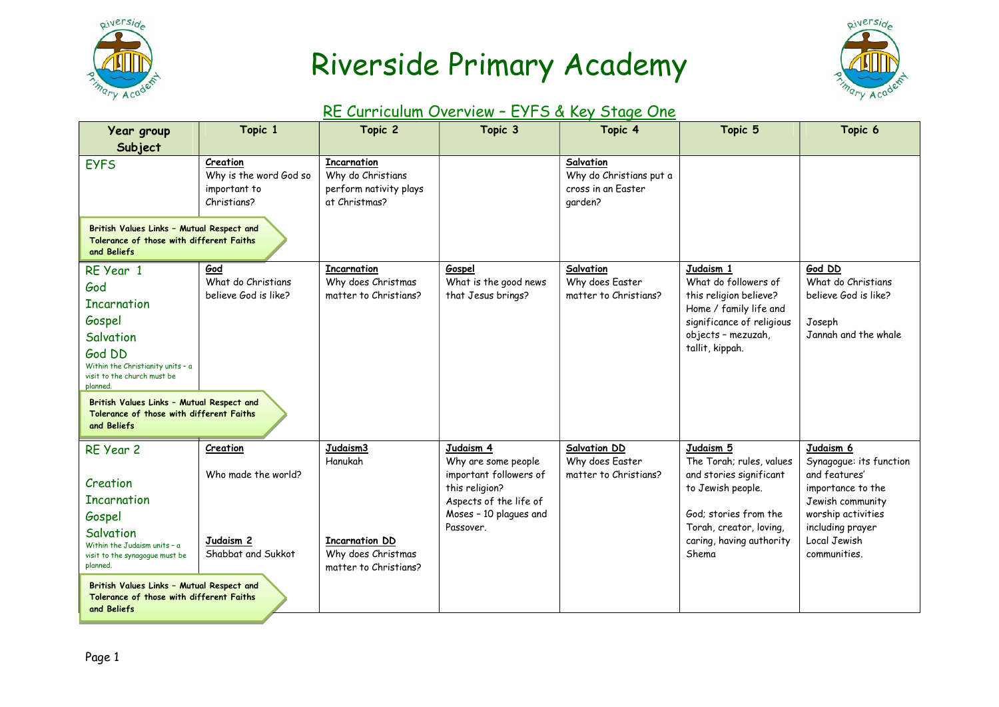

# Riverside Primary Academy



#### RE Curriculum Overview – EYFS & Key Stage One

| Year group                                                                                                                                                                                                                                                      | Topic 1                                                                       | Topic 2                                                                                     | Topic 3                                                                                                                                       | Topic 4                                                               | Topic 5                                                                                                                                                                        | Topic 6                                                                                                                                                                  |
|-----------------------------------------------------------------------------------------------------------------------------------------------------------------------------------------------------------------------------------------------------------------|-------------------------------------------------------------------------------|---------------------------------------------------------------------------------------------|-----------------------------------------------------------------------------------------------------------------------------------------------|-----------------------------------------------------------------------|--------------------------------------------------------------------------------------------------------------------------------------------------------------------------------|--------------------------------------------------------------------------------------------------------------------------------------------------------------------------|
| Subject                                                                                                                                                                                                                                                         |                                                                               |                                                                                             |                                                                                                                                               |                                                                       |                                                                                                                                                                                |                                                                                                                                                                          |
| <b>EYFS</b>                                                                                                                                                                                                                                                     | Creation<br>Why is the word God so<br>important to<br>Christians?             | <b>Incarnation</b><br>Why do Christians<br>perform nativity plays<br>at Christmas?          |                                                                                                                                               | Salvation<br>Why do Christians put a<br>cross in an Easter<br>garden? |                                                                                                                                                                                |                                                                                                                                                                          |
| British Values Links - Mutual Respect and<br>Tolerance of those with different Faiths<br>and Beliefs                                                                                                                                                            |                                                                               |                                                                                             |                                                                                                                                               |                                                                       |                                                                                                                                                                                |                                                                                                                                                                          |
| RE Year 1<br>God<br><b>Incarnation</b><br>Gospel<br>Salvation<br>God DD<br>Within the Christianity units - a<br>visit to the church must be<br>planned.<br>British Values Links - Mutual Respect and<br>Tolerance of those with different Faiths<br>and Beliefs | God<br>What do Christians<br>believe God is like?                             | <b>Incarnation</b><br>Why does Christmas<br>matter to Christians?                           | Gospel<br>What is the good news<br>that Jesus brings?                                                                                         | Salvation<br>Why does Easter<br>matter to Christians?                 | Judaism 1<br>What do followers of<br>this religion believe?<br>Home / family life and<br>significance of religious<br>objects - mezuzah,<br>tallit, kippah.                    | God DD<br>What do Christians<br>believe God is like?<br>Joseph<br>Jannah and the whale                                                                                   |
| RE Year 2<br>Creation<br><b>Incarnation</b><br>Gospel<br>Salvation<br>Within the Judaism units - a<br>visit to the synagogue must be<br>planned.<br>British Values Links - Mutual Respect and<br>Tolerance of those with different Faiths<br>and Beliefs        | Creation<br>Who made the world?<br>Judaism <sub>2</sub><br>Shabbat and Sukkot | Judaism3<br>Hanukah<br><b>Incarnation DD</b><br>Why does Christmas<br>matter to Christians? | Judaism 4<br>Why are some people<br>important followers of<br>this religion?<br>Aspects of the life of<br>Moses - 10 plagues and<br>Passover. | <b>Salvation DD</b><br>Why does Easter<br>matter to Christians?       | Judaism 5<br>The Torah; rules, values<br>and stories significant<br>to Jewish people.<br>God; stories from the<br>Torah, creator, loving,<br>caring, having authority<br>Shema | Judaism 6<br>Synagogue: its function<br>and features'<br>importance to the<br>Jewish community<br>worship activities<br>including prayer<br>Local Jewish<br>communities. |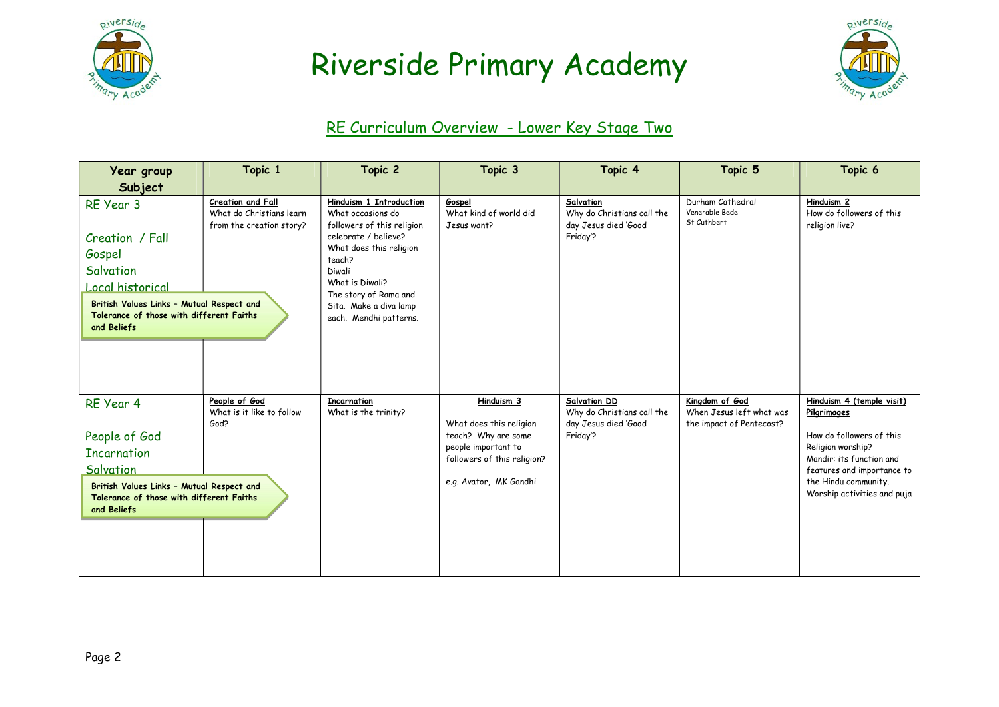

### Riverside Primary Academy



#### RE Curriculum Overview - Lower Key Stage Two

| Year group                                                                                                                                                                      | Topic 1                                                                   | Topic 2                                                                                                                                                                                                                                           | Topic 3                                                                                                                                                 | Topic 4                                                                        | Topic 5                                                                | Topic 6                                                                                                                                                                                                    |
|---------------------------------------------------------------------------------------------------------------------------------------------------------------------------------|---------------------------------------------------------------------------|---------------------------------------------------------------------------------------------------------------------------------------------------------------------------------------------------------------------------------------------------|---------------------------------------------------------------------------------------------------------------------------------------------------------|--------------------------------------------------------------------------------|------------------------------------------------------------------------|------------------------------------------------------------------------------------------------------------------------------------------------------------------------------------------------------------|
| Subject                                                                                                                                                                         |                                                                           |                                                                                                                                                                                                                                                   |                                                                                                                                                         |                                                                                |                                                                        |                                                                                                                                                                                                            |
| RE Year 3<br>Creation / Fall<br>Gospel<br>Salvation<br>Local historical<br>British Values Links - Mutual Respect and<br>Tolerance of those with different Faiths<br>and Beliefs | Creation and Fall<br>What do Christians learn<br>from the creation story? | Hinduism 1 Introduction<br>What occasions do<br>followers of this religion<br>celebrate / believe?<br>What does this religion<br>teach?<br>Diwali<br>What is Diwali?<br>The story of Rama and<br>Sita. Make a diva lamp<br>each. Mendhi patterns. | Gospel<br>What kind of world did<br>Jesus want?                                                                                                         | Salvation<br>Why do Christians call the<br>day Jesus died 'Good<br>Friday'?    | Durham Cathedral<br>Venerable Bede<br>St Cuthbert                      | Hinduism <sub>2</sub><br>How do followers of this<br>religion live?                                                                                                                                        |
| RE Year 4<br>People of God<br><b>Incarnation</b><br>Salvation<br>British Values Links - Mutual Respect and<br>Tolerance of those with different Faiths<br>and Beliefs           | People of God<br>What is it like to follow<br>God?                        | <b>Incarnation</b><br>What is the trinity?                                                                                                                                                                                                        | Hinduism <sub>3</sub><br>What does this religion<br>teach? Why are some<br>people important to<br>followers of this religion?<br>e.g. Avator, MK Gandhi | Salvation DD<br>Why do Christians call the<br>day Jesus died 'Good<br>Friday'? | Kingdom of God<br>When Jesus left what was<br>the impact of Pentecost? | Hinduism 4 (temple visit)<br>Pilgrimages<br>How do followers of this<br>Religion worship?<br>Mandir: its function and<br>features and importance to<br>the Hindu community.<br>Worship activities and puja |